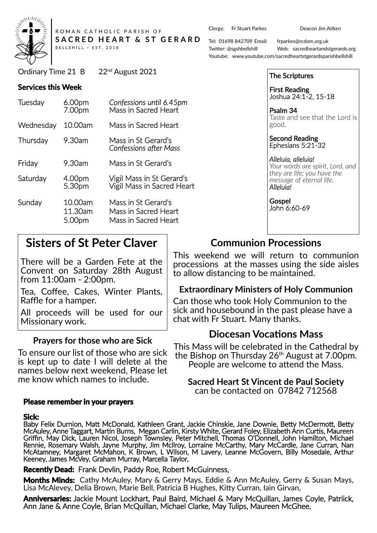

ROMAN CATHOLIC PARISH OF SACRED HEART & ST GERARD BELLSHILL ~ EST. 2018

Ordinary Time 21 B 22<sup>nd</sup> August 2021

#### **Services this Week**

| Tuesday   | 6.00pm<br>7.00pm             | Confessions until 6.45pm<br>Mass in Sacred Heart                    |
|-----------|------------------------------|---------------------------------------------------------------------|
| Wednesday | 10.00am                      | Mass in Sacred Heart                                                |
| Thursday  | 9.30am                       | Mass in St Gerard's<br><b>Confessions after Mass</b>                |
| Friday    | 9.30am                       | Mass in St Gerard's                                                 |
| Saturday  | 4.00pm<br>5.30pm             | Vigil Mass in St Gerard's<br>Vigil Mass in Sacred Heart             |
| Sunday    | 10.00am<br>11.30am<br>5.00pm | Mass in St Gerard's<br>Mass in Sacred Heart<br>Mass in Sacred Heart |

# **Sisters of St Peter Claver**

There will be a Garden Fete at the Convent on Saturday 28th August from 11:00am - 2:00pm.

Tea, Coffee, Cakes, Winter Plants, Raffle for a hamper.

All proceeds will be used for our Missionary work.

#### **Prayers for those who are Sick**

To ensure our list of those who are sick is kept up to date I will delete al the names below next weekend, Please let me know which names to include.

#### **Please remember in your prayers**

#### **Sick:**

Baby Felix Durnion, Matt McDonald, Kathleen Grant, Jackie Chinskie, Jane Downie, Betty McDermott, Betty McAuley, Anne Taggart, Martin Burns, Megan Carlin, Kirsty White, Gerard Foley, Elizabeth Ann Curtis, Maureen Griffin, May Dick, Lauren Nicol, Joseph Townsley, Peter Mitchell, Thomas O'Donnell, John Hamilton, Michael Rennie, Rosemary Walsh, Jayne Murphy, Jim McIlroy, Lorraine McCarthy, Mary McCardle, Jane Curran, Nan McAtamney, Margaret McMahon, K Brown, L Wilson, M Lavery, Leanne McGovern, Billy Mosedale, Arthur Keeney, James McVey, Graham Murray, Marcella Taylor,

**Recently Dead:** Frank Devlin, Paddy Roe, Robert McGuinness,

**Months Minds:** Cathy McAuley, Mary & Gerry Mays, Eddie & Ann McAuley, Gerry & Susan Mays, Lisa McAlevey, Delia Brown, Marie Bell, Patricia B Hughes, Kitty Curran, Iain Girvan,

**Anniversaries:** Jackie Mount Lockhart, Paul Baird, Michael & Mary McQuillan, James Coyle, Patriick, Ann Jane & Anne Coyle, Brian McQuillan, Michael Clarke, May Tulips, Maureen McGhee,

Clergy: Fr Stuart Parkes Deacon Jim Aitken

Tel: 01698 842709 Email: frparkes@rcdom.org.uk Twi�er: @sgshbellshill Web: sacredheartandstgerards.org Youtube: www.youtube.com/sacredheartstgerardsparishbellshill

| <b>The Scriptures</b>                                                                                                           |
|---------------------------------------------------------------------------------------------------------------------------------|
| <b>First Reading</b><br>Joshua 24:1-2, 15-18                                                                                    |
| Psalm 34<br>Taste and see that the Lord is<br>good.                                                                             |
| <b>Second Reading</b><br>Ephesians 5:21-32                                                                                      |
| Alleluia, alleluia!<br>Your words are spirit, Lord, and<br>they are life; you have the<br>message of eternal life.<br>Alleluia! |
| Gospel<br>John 6:60-69                                                                                                          |
|                                                                                                                                 |

## **Communion Processions**

This weekend we will return to communion processions at the masses using the side aisles to allow distancing to be maintained.

#### **Extraordinary Ministers of Holy Communion**

Can those who took Holy Communion to the sick and housebound in the past please have a chat with Fr Stuart. Many thanks.

### **Diocesan Vocations Mass**

This Mass will be celebrated in the Cathedral by the Bishop on Thursday 26<sup>th</sup> August at 7.00pm. People are welcome to attend the Mass.

**Sacred Heart St Vincent de Paul Society** can be contacted on 07842 712568